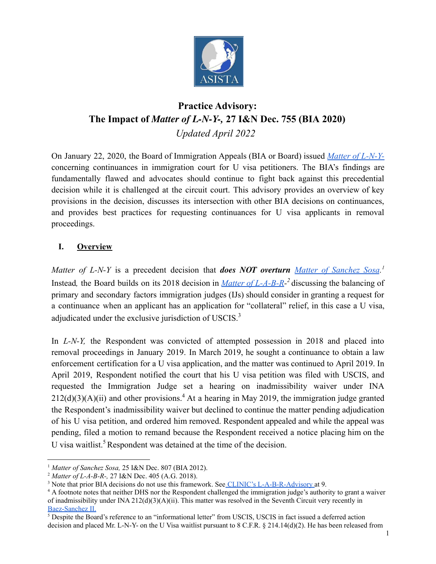

# **Practice Advisory: The Impact of** *Matter of L-N-Y-,* **27 I&N Dec. 755 (BIA 2020)** *Updated April 2022*

On January 22, 2020, the Board of Immigration Appeals (BIA or Board) issued *Matter of [L-N-Y](https://www.justice.gov/eoir/page/file/1236941/download)*concerning continuances in immigration court for U visa petitioners. The BIA's findings are fundamentally flawed and advocates should continue to fight back against this precedential decision while it is challenged at the circuit court. This advisory provides an overview of key provisions in the decision, discusses its intersection with other BIA decisions on continuances, and provides best practices for requesting continuances for U visa applicants in removal proceedings.

# **I. Overview**

*Matter of L-N-Y* is a precedent decision that *does NOT overturn Matter of [Sanchez](https://asistahelp.org/wp-content/uploads/2019/02/Matter-of-Sanchez-Sosa-June-7-2012.pdf) Sosa. 1* Instead*,* the Board builds on its 2018 decision in *Matter of [L-A-B-R](https://www.justice.gov/eoir/page/file/1087781/download)-<sup>2</sup>* discussing the balancing of primary and secondary factors immigration judges (IJs) should consider in granting a request for a continuance when an applicant has an application for "collateral" relief, in this case a U visa, adjudicated under the exclusive jurisdiction of USCIS.<sup>3</sup>

In *L-N-Y*, the Respondent was convicted of attempted possession in 2018 and placed into removal proceedings in January 2019. In March 2019, he sought a continuance to obtain a law enforcement certification for a U visa application, and the matter was continued to April 2019. In April 2019, Respondent notified the court that his U visa petition was filed with USCIS, and requested the Immigration Judge set a hearing on inadmissibility waiver under INA  $212(d)(3)(A)(ii)$  and other provisions.<sup>4</sup> At a hearing in May 2019, the immigration judge granted the Respondent's inadmissibility waiver but declined to continue the matter pending adjudication of his U visa petition, and ordered him removed. Respondent appealed and while the appeal was pending, filed a motion to remand because the Respondent received a notice placing him on the U visa waitlist.<sup>5</sup> Respondent was detained at the time of the decision.

<sup>1</sup> *Matter of Sanchez Sosa,* 25 I&N Dec. 807 (BIA 2012).

<sup>2</sup> *Matter of L-A-B-R-,* 27 I&N Dec. 405 (A.G. 2018).

<sup>&</sup>lt;sup>3</sup> Note that prior BIA decisions do not use this framework. See CLINIC's [L-A-B-R-Advisory](https://cliniclegal.org/resources/removal-proceedings/practice-advisory-matter-l-b-r-27-dec-405-ag-2018) at 9.

<sup>&</sup>lt;sup>4</sup> A footnote notes that neither DHS nor the Respondent challenged the immigration judge's authority to grant a waiver of inadmissibility under INA  $212(d)(3)(A)(ii)$ . This matter was resolved in the Seventh Circuit very recently in Baez-Sanchez II.

 $<sup>5</sup>$  Despite the Board's reference to an "informational letter" from USCIS, USCIS in fact issued a deferred action</sup> decision and placed Mr. L-N-Y- on the U Visa waitlist pursuant to 8 C.F.R. § 214.14(d)(2). He has been released from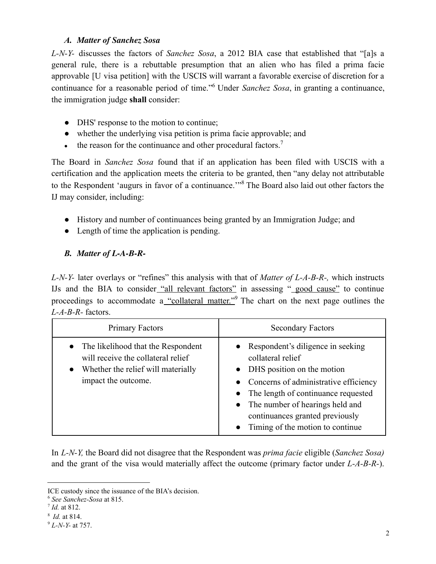### *A. Matter of Sanchez Sosa*

*L-N-Y-* discusses the factors of *Sanchez Sosa*, a 2012 BIA case that established that "[a]s a general rule, there is a rebuttable presumption that an alien who has filed a prima facie approvable [U visa petition] with the USCIS will warrant a favorable exercise of discretion for a continuance for a reasonable period of time."<sup>6</sup> Under *Sanchez Sosa*, in granting a continuance, the immigration judge **shall** consider:

- DHS' response to the motion to continue;
- whether the underlying visa petition is prima facie approvable; and
- $\bullet$  the reason for the continuance and other procedural factors.<sup>7</sup>

The Board in *Sanchez Sosa* found that if an application has been filed with USCIS with a certification and the application meets the criteria to be granted, then "any delay not attributable to the Respondent 'augurs in favor of a continuance.'"<sup>8</sup> The Board also laid out other factors the IJ may consider, including:

- History and number of continuances being granted by an Immigration Judge; and
- Length of time the application is pending.

# *B. Matter of L-A-B-R-*

*L-N-Y-* later overlays or "refines" this analysis with that of *Matter of L-A-B-R-,* which instructs IJs and the BIA to consider "all relevant factors" in assessing " good cause" to continue proceedings to accommodate a "collateral matter." The chart on the next page outlines the *L-A-B-R-* factors.

| Primary Factors                                                                                                                                                 | <b>Secondary Factors</b>                                                                                                                                                                                                                                                                 |
|-----------------------------------------------------------------------------------------------------------------------------------------------------------------|------------------------------------------------------------------------------------------------------------------------------------------------------------------------------------------------------------------------------------------------------------------------------------------|
| The likelihood that the Respondent<br>$\bullet$<br>will receive the collateral relief<br>Whether the relief will materially<br>$\bullet$<br>impact the outcome. | • Respondent's diligence in seeking<br>collateral relief<br>• DHS position on the motion<br>• Concerns of administrative efficiency<br>• The length of continuance requested<br>• The number of hearings held and<br>continuances granted previously<br>Timing of the motion to continue |

In *L-N-Y,* the Board did not disagree that the Respondent was *prima facie* eligible (*Sanchez Sosa)* and the grant of the visa would materially affect the outcome (primary factor under *L-A-B-R-*).

ICE custody since the issuance of the BIA's decision.

<sup>6</sup> *See Sanchez-Sosa* at 815.

<sup>7</sup> *Id.* at 812.

<sup>8</sup> *Id.* at 814.

<sup>9</sup> *L-N-Y-* at 757.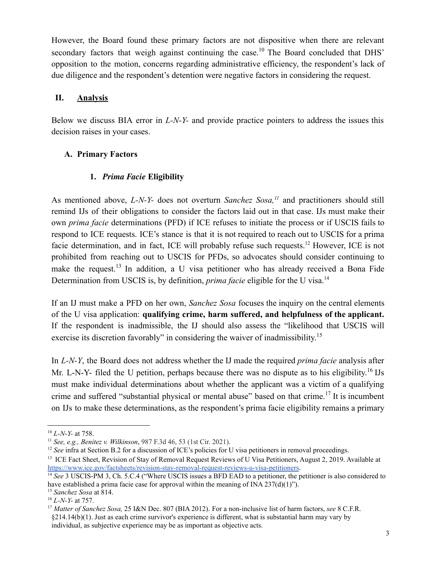However, the Board found these primary factors are not dispositive when there are relevant secondary factors that weigh against continuing the case.<sup>10</sup> The Board concluded that DHS' opposition to the motion, concerns regarding administrative efficiency, the respondent's lack of due diligence and the respondent's detention were negative factors in considering the request.

### **II. Analysis**

Below we discuss BIA error in *L-N-Y-* and provide practice pointers to address the issues this decision raises in your cases.

# **A. Primary Factors**

### **1.** *Prima Facie* **Eligibility**

As mentioned above, *L-N-Y-* does not overturn *Sanchez Sosa,<sup>11</sup>* and practitioners should still remind IJs of their obligations to consider the factors laid out in that case. IJs must make their own *prima facie* determinations (PFD) if ICE refuses to initiate the process or if USCIS fails to respond to ICE requests. ICE's stance is that it is not required to reach out to USCIS for a prima facie determination, and in fact, ICE will probably refuse such requests.<sup>12</sup> However, ICE is not prohibited from reaching out to USCIS for PFDs, so advocates should consider continuing to make the request.<sup>13</sup> In addition, a U visa petitioner who has already received a Bona Fide Determination from USCIS is, by definition, *prima facie* eligible for the U visa.<sup>14</sup>

If an IJ must make a PFD on her own, *Sanchez Sosa* focuses the inquiry on the central elements of the U visa application: **qualifying crime, harm suffered, and helpfulness of the applicant.** If the respondent is inadmissible, the IJ should also assess the "likelihood that USCIS will exercise its discretion favorably" in considering the waiver of inadmissibility.<sup>15</sup>

In *L-N-Y*, the Board does not address whether the IJ made the required *prima facie* analysis after Mr. L-N-Y- filed the U petition, perhaps because there was no dispute as to his eligibility.<sup>16</sup> IJs must make individual determinations about whether the applicant was a victim of a qualifying crime and suffered "substantial physical or mental abuse" based on that crime.<sup>17</sup> It is incumbent on IJs to make these determinations, as the respondent's prima facie eligibility remains a primary

<sup>10</sup> *L-N-Y-* at 758.

<sup>11</sup> *See, e.g., Benitez v. Wilkinson*, 987 F.3d 46, 53 (1st Cir. 2021).

<sup>&</sup>lt;sup>12</sup> *See* infra at Section B.2 for a discussion of ICE's policies for U visa petitioners in removal proceedings.

<sup>&</sup>lt;sup>13</sup> ICE Fact Sheet, Revision of Stay of Removal Request Reviews of U Visa Petitioners, August 2, 2019. Available at <https://www.ice.gov/factsheets/revision-stay-removal-request-reviews-u-visa-petitioners>.

<sup>15</sup> *Sanchez Sosa* at 814. <sup>14</sup> See 3 USCIS-PM 3, Ch. 5.C.4 ("Where USCIS issues a BFD EAD to a petitioner, the petitioner is also considered to have established a prima facie case for approval within the meaning of INA  $237(d)(1)$ ").

<sup>16</sup> *L-N-Y-* at 757.

<sup>17</sup> *Matter of Sanchez Sosa,* 25 I&N Dec. 807 (BIA 2012). For a non-inclusive list of harm factors, *see* 8 C.F.R. §214.14(b)(1). Just as each crime survivor's experience is different, what is substantial harm may vary by individual, as subjective experience may be as important as objective acts.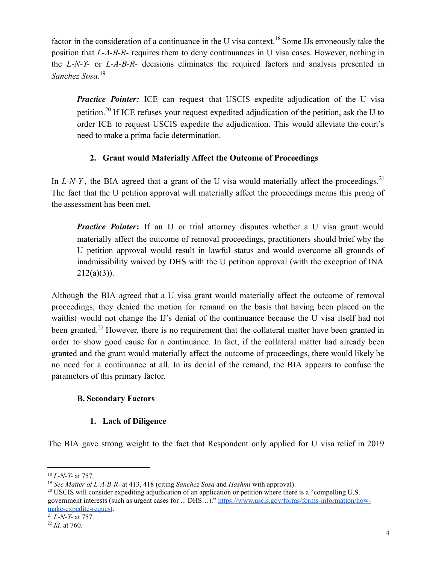factor in the consideration of a continuance in the U visa context.<sup>18</sup> Some IJs erroneously take the position that *L-A-B-R-* requires them to deny continuances in U visa cases. However, nothing in the *L-N-Y-* or *L-A-B-R-* decisions eliminates the required factors and analysis presented in *Sanchez Sosa*. 19

*Practice Pointer:* ICE can request that USCIS expedite adjudication of the U visa petition.<sup>20</sup> If ICE refuses your request expedited adjudication of the petition, ask the IJ to order ICE to request USCIS expedite the adjudication. This would alleviate the court's need to make a prima facie determination.

# **2. Grant would Materially Affect the Outcome of Proceedings**

In  $L-N-Y$ -, the BIA agreed that a grant of the U visa would materially affect the proceedings.<sup>21</sup> The fact that the U petition approval will materially affect the proceedings means this prong of the assessment has been met.

*Practice Pointer*: If an IJ or trial attorney disputes whether a U visa grant would materially affect the outcome of removal proceedings, practitioners should brief why the U petition approval would result in lawful status and would overcome all grounds of inadmissibility waived by DHS with the U petition approval (with the exception of INA  $212(a)(3)$ ).

Although the BIA agreed that a U visa grant would materially affect the outcome of removal proceedings, they denied the motion for remand on the basis that having been placed on the waitlist would not change the IJ's denial of the continuance because the U visa itself had not been granted.<sup>22</sup> However, there is no requirement that the collateral matter have been granted in order to show good cause for a continuance. In fact, if the collateral matter had already been granted and the grant would materially affect the outcome of proceedings, there would likely be no need for a continuance at all. In its denial of the remand, the BIA appears to confuse the parameters of this primary factor.

# **B. Secondary Factors**

# **1. Lack of Diligence**

The BIA gave strong weight to the fact that Respondent only applied for U visa relief in 2019

<sup>18</sup> *L-N-Y-* at 757.

<sup>19</sup> *See Matter of L-A-B-R-* at 413, 418 (citing *Sanchez Sosa* and *Hashmi* with approval).

<sup>&</sup>lt;sup>20</sup> USCIS will consider expediting adjudication of an application or petition where there is a "compelling U.S. government interests (such as urgent cases for ... DHS…)." [https://www.uscis.gov/forms/forms-information/how](https://www.uscis.gov/forms/forms-information/how-make-expedite-request)[make-expedite-request.](https://www.uscis.gov/forms/forms-information/how-make-expedite-request)

 $21 L-N-Y$ - at 757.

<sup>22</sup> *Id.* at 760.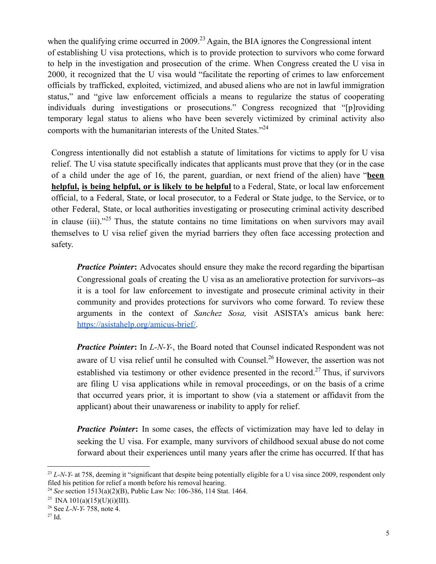when the qualifying crime occurred in 2009.<sup>23</sup> Again, the BIA ignores the Congressional intent of establishing U visa protections, which is to provide protection to survivors who come forward to help in the investigation and prosecution of the crime. When Congress created the U visa in 2000, it recognized that the U visa would "facilitate the reporting of crimes to law enforcement officials by trafficked, exploited, victimized, and abused aliens who are not in lawful immigration status," and "give law enforcement officials a means to regularize the status of cooperating individuals during investigations or prosecutions." Congress recognized that "[p]roviding temporary legal status to aliens who have been severely victimized by criminal activity also comports with the humanitarian interests of the United States. $124$ 

Congress intentionally did not establish a statute of limitations for victims to apply for U visa relief. The U visa statute specifically indicates that applicants must prove that they (or in the case of a child under the age of 16, the parent, guardian, or next friend of the alien) have "**been helpful, is being helpful, or is likely to be helpful** to a Federal, State, or local law enforcement official, to a Federal, State, or local prosecutor, to a Federal or State judge, to the Service, or to other Federal, State, or local authorities investigating or prosecuting criminal activity described in clause (iii). $125$  Thus, the statute contains no time limitations on when survivors may avail themselves to U visa relief given the myriad barriers they often face accessing protection and safety.

*Practice Pointer*: Advocates should ensure they make the record regarding the bipartisan Congressional goals of creating the U visa as an ameliorative protection for survivors--as it is a tool for law enforcement to investigate and prosecute criminal activity in their community and provides protections for survivors who come forward. To review these arguments in the context of *Sanchez Sosa,* visit ASISTA's amicus bank here: [https://asistahelp.org/amicus-brief/.](https://asistahelp.org/amicus-brief/)

*Practice Pointer***:** In *L-N-Y-*, the Board noted that Counsel indicated Respondent was not aware of U visa relief until he consulted with Counsel.<sup>26</sup> However, the assertion was not established via testimony or other evidence presented in the record.<sup>27</sup> Thus, if survivors are filing U visa applications while in removal proceedings, or on the basis of a crime that occurred years prior, it is important to show (via a statement or affidavit from the applicant) about their unawareness or inability to apply for relief.

*Practice Pointer*: In some cases, the effects of victimization may have led to delay in seeking the U visa. For example, many survivors of childhood sexual abuse do not come forward about their experiences until many years after the crime has occurred. If that has

<sup>&</sup>lt;sup>23</sup> *L-N-Y-* at 758, deeming it "significant that despite being potentially eligible for a U visa since 2009, respondent only filed his petition for relief a month before his removal hearing.

<sup>24</sup> *See* section 1513(a)(2)(B), Public Law No: 106-386, 114 Stat. 1464.

<sup>&</sup>lt;sup>25</sup> INA 101(a)(15)(U)(i)(III).

<sup>26</sup> See *L-N-Y-* 758, note 4.

 $27$  Id.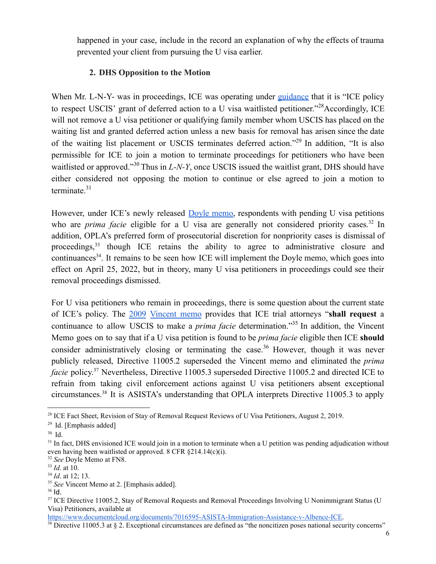happened in your case, include in the record an explanation of why the effects of trauma prevented your client from pursuing the U visa earlier.

# **2. DHS Opposition to the Motion**

When Mr. L-N-Y- was in proceedings, ICE was operating under [guidance](https://www.ice.gov/factsheets/revision-stay-removal-request-reviews-u-visa-petitioners) that it is "ICE policy to respect USCIS' grant of deferred action to a U visa waitlisted petitioner."<sup>28</sup>Accordingly, ICE will not remove a U visa petitioner or qualifying family member whom USCIS has placed on the waiting list and granted deferred action unless a new basis for removal has arisen since the date of the waiting list placement or USCIS terminates deferred action."<sup>29</sup> In addition, "It is also permissible for ICE to join a motion to terminate proceedings for petitioners who have been waitlisted or approved."<sup>30</sup> Thus in *L-N-Y*, once USCIS issued the waitlist grant, DHS should have either considered not opposing the motion to continue or else agreed to join a motion to terminate. $31$ 

However, under ICE's newly released Doyle [memo,](https://www.ice.gov/doclib/about/offices/opla/OPLA-immigration-enforcement_guidanceApr2022.pdf) respondents with pending U visa petitions who are *prima facie* eligible for a U visa are generally not considered priority cases.<sup>32</sup> In addition, OPLA's preferred form of prosecutorial discretion for nonpriority cases is dismissal of proceedings,<sup>33</sup> though ICE retains the ability to agree to administrative closure and continuances<sup>34</sup>. It remains to be seen how ICE will implement the Doyle memo, which goes into effect on April 25, 2022, but in theory, many U visa petitioners in proceedings could see their removal proceedings dismissed.

For U visa petitioners who remain in proceedings, there is some question about the current state of ICE's policy. The [2009](https://www.ice.gov/doclib/foia/dro_policy_memos/vincent_memo.pdf) [Vincent](https://www.ice.gov/doclib/foia/dro_policy_memos/vincent_memo.pdf) memo provides that ICE trial attorneys "**shall request** a continuance to allow USCIS to make a *prima facie* determination."<sup>35</sup> In addition, the Vincent Memo goes on to say that if a U visa petition is found to be *prima facie* eligible then ICE **should** consider administratively closing or terminating the case.<sup>36</sup> However, though it was never publicly released, Directive 11005.2 superseded the Vincent memo and eliminated the *prima* facie policy.<sup>37</sup> Nevertheless, Directive 11005.3 superseded Directive 11005.2 and directed ICE to refrain from taking civil enforcement actions against U visa petitioners absent exceptional circumstances.<sup>38</sup> It is ASISTA's understanding that OPLA interprets Directive 11005.3 to apply

<sup>&</sup>lt;sup>28</sup> ICE Fact Sheet, Revision of Stay of Removal Request Reviews of U Visa Petitioners, August 2, 2019.

 $29$  Id. [Emphasis added]

<sup>30</sup> Id.

<sup>&</sup>lt;sup>31</sup> In fact, DHS envisioned ICE would join in a motion to terminate when a U petition was pending adjudication without even having been waitlisted or approved. 8 CFR §214.14(c)(i).

<sup>32</sup> *See* Doyle Memo at FN8.

<sup>33</sup> *Id.* at 10.

<sup>34</sup> *Id*. at 12; 13.

<sup>35</sup> *See* Vincent Memo at 2. [Emphasis added].

<sup>36</sup> Id.

<sup>&</sup>lt;sup>37</sup> ICE Directive 11005.2, Stay of Removal Requests and Removal Proceedings Involving U Nonimmigrant Status (U Visa) Petitioners, available at

[https://www.documentcloud.org/documents/7016595-ASISTA-Immigration-Assistance-v-Albence-ICE.](https://www.documentcloud.org/documents/7016595-ASISTA-Immigration-Assistance-v-Albence-ICE)

 $38$  Directive 11005.3 at § 2. Exceptional circumstances are defined as "the noncitizen poses national security concerns"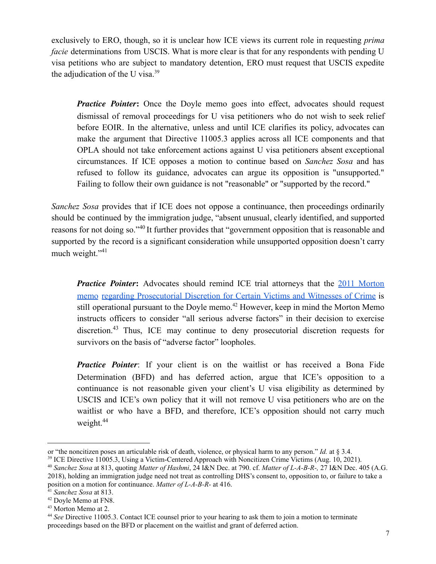exclusively to ERO, though, so it is unclear how ICE views its current role in requesting *prima facie* determinations from USCIS. What is more clear is that for any respondents with pending U visa petitions who are subject to mandatory detention, ERO must request that USCIS expedite the adjudication of the U visa.<sup>39</sup>

*Practice Pointer*: Once the Doyle memo goes into effect, advocates should request dismissal of removal proceedings for U visa petitioners who do not wish to seek relief before EOIR. In the alternative, unless and until ICE clarifies its policy, advocates can make the argument that Directive 11005.3 applies across all ICE components and that OPLA should not take enforcement actions against U visa petitioners absent exceptional circumstances. If ICE opposes a motion to continue based on *Sanchez Sosa* and has refused to follow its guidance, advocates can argue its opposition is "unsupported." Failing to follow their own guidance is not "reasonable" or "supported by the record."

*Sanchez Sosa* provides that if ICE does not oppose a continuance, then proceedings ordinarily should be continued by the immigration judge, "absent unusual, clearly identified, and supported reasons for not doing so."<sup>40</sup> It further provides that "government opposition that is reasonable and supported by the record is a significant consideration while unsupported opposition doesn't carry much weight."<sup>41</sup>

*Practice Pointer*: Advocates should remind ICE trial attorneys that the 2011 [Morton](https://www.ice.gov/doclib/foia/prosecutorial-discretion/certain-victims-witnesses-plaintiffs.pdf) [memo](https://www.ice.gov/doclib/foia/prosecutorial-discretion/certain-victims-witnesses-plaintiffs.pdf) regarding [Prosecutorial](https://www.ice.gov/doclib/foia/prosecutorial-discretion/certain-victims-witnesses-plaintiffs.pdf) Discretion for Certain Victims and Witnesses of Crime is still operational pursuant to the Doyle memo.<sup>42</sup> However, keep in mind the Morton Memo instructs officers to consider "all serious adverse factors" in their decision to exercise discretion.<sup>43</sup> Thus, ICE may continue to deny prosecutorial discretion requests for survivors on the basis of "adverse factor" loopholes.

*Practice Pointer*: If your client is on the waitlist or has received a Bona Fide Determination (BFD) and has deferred action, argue that ICE's opposition to a continuance is not reasonable given your client's U visa eligibility as determined by USCIS and ICE's own policy that it will not remove U visa petitioners who are on the waitlist or who have a BFD, and therefore, ICE's opposition should not carry much weight. $44$ 

or "the noncitizen poses an articulable risk of death, violence, or physical harm to any person." *Id.* at § 3.4.

<sup>&</sup>lt;sup>39</sup> ICE Directive 11005.3, Using a Victim-Centered Approach with Noncitizen Crime Victims (Aug. 10, 2021).

<sup>40</sup> *Sanchez Sosa* at 813, quoting *Matter of Hashmi*, 24 I&N Dec. at 790. cf. *Matter of L-A-B-R-,* 27 I&N Dec. 405 (A.G. 2018), holding an immigration judge need not treat as controlling DHS's consent to, opposition to, or failure to take a position on a motion for continuance. *Matter of L-A-B-R-* at 416.

<sup>41</sup> *Sanchez Sosa* at 813.

<sup>42</sup> Doyle Memo at FN8.

<sup>43</sup> Morton Memo at 2.

<sup>44</sup> *See* Directive 11005.3. Contact ICE counsel prior to your hearing to ask them to join a motion to terminate proceedings based on the BFD or placement on the waitlist and grant of deferred action.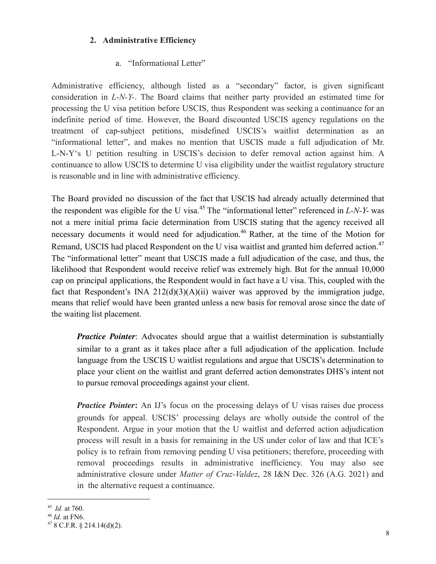### **2. Administrative Efficiency**

### a. "Informational Letter"

Administrative efficiency, although listed as a "secondary" factor, is given significant consideration in *L-N-Y-*. The Board claims that neither party provided an estimated time for processing the U visa petition before USCIS, thus Respondent was seeking a continuance for an indefinite period of time. However, the Board discounted USCIS agency regulations on the treatment of cap-subject petitions, misdefined USCIS's waitlist determination as an "informational letter", and makes no mention that USCIS made a full adjudication of Mr. L-N-Y's U petition resulting in USCIS's decision to defer removal action against him. A continuance to allow USCIS to determine U visa eligibility under the waitlist regulatory structure is reasonable and in line with administrative efficiency.

The Board provided no discussion of the fact that USCIS had already actually determined that the respondent was eligible for the U visa.<sup>45</sup> The "informational letter" referenced in *L-N-Y-* was not a mere initial prima facie determination from USCIS stating that the agency received all necessary documents it would need for adjudication.<sup>46</sup> Rather, at the time of the Motion for Remand, USCIS had placed Respondent on the U visa waitlist and granted him deferred action.<sup>47</sup> The "informational letter" meant that USCIS made a full adjudication of the case, and thus, the likelihood that Respondent would receive relief was extremely high. But for the annual 10,000 cap on principal applications, the Respondent would in fact have a U visa. This, coupled with the fact that Respondent's INA  $212(d)(3)(A)(ii)$  waiver was approved by the immigration judge, means that relief would have been granted unless a new basis for removal arose since the date of the waiting list placement.

*Practice Pointer*: Advocates should argue that a waitlist determination is substantially similar to a grant as it takes place after a full adjudication of the application. Include language from the USCIS U waitlist regulations and argue that USCIS's determination to place your client on the waitlist and grant deferred action demonstrates DHS's intent not to pursue removal proceedings against your client.

*Practice Pointer*: An IJ's focus on the processing delays of U visas raises due process grounds for appeal. USCIS' processing delays are wholly outside the control of the Respondent. Argue in your motion that the U waitlist and deferred action adjudication process will result in a basis for remaining in the US under color of law and that ICE's policy is to refrain from removing pending U visa petitioners; therefore, proceeding with removal proceedings results in administrative inefficiency. You may also see administrative closure under *Matter of Cruz-Valdez*, 28 I&N Dec. 326 (A.G. 2021) and in the alternative request a continuance.

<sup>45</sup> *Id.* at 760.

<sup>46</sup> *Id.* at FN6.

 $478$  C.F.R. § 214.14(d)(2).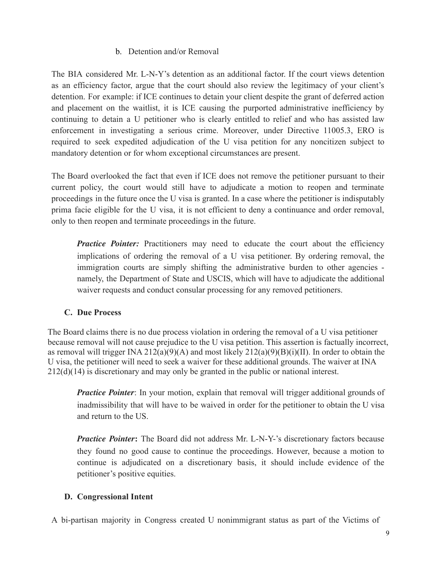### b. Detention and/or Removal

The BIA considered Mr. L-N-Y's detention as an additional factor. If the court views detention as an efficiency factor, argue that the court should also review the legitimacy of your client's detention. For example: if ICE continues to detain your client despite the grant of deferred action and placement on the waitlist, it is ICE causing the purported administrative inefficiency by continuing to detain a U petitioner who is clearly entitled to relief and who has assisted law enforcement in investigating a serious crime. Moreover, under Directive 11005.3, ERO is required to seek expedited adjudication of the U visa petition for any noncitizen subject to mandatory detention or for whom exceptional circumstances are present.

The Board overlooked the fact that even if ICE does not remove the petitioner pursuant to their current policy, the court would still have to adjudicate a motion to reopen and terminate proceedings in the future once the U visa is granted. In a case where the petitioner is indisputably prima facie eligible for the U visa, it is not efficient to deny a continuance and order removal, only to then reopen and terminate proceedings in the future.

**Practice Pointer:** Practitioners may need to educate the court about the efficiency implications of ordering the removal of a U visa petitioner. By ordering removal, the immigration courts are simply shifting the administrative burden to other agencies namely, the Department of State and USCIS, which will have to adjudicate the additional waiver requests and conduct consular processing for any removed petitioners.

# **C. Due Process**

The Board claims there is no due process violation in ordering the removal of a U visa petitioner because removal will not cause prejudice to the U visa petition. This assertion is factually incorrect, as removal will trigger INA 212(a)(9)(A) and most likely  $212(a)(9)(B)(i)(II)$ . In order to obtain the U visa, the petitioner will need to seek a waiver for these additional grounds. The waiver at INA 212(d)(14) is discretionary and may only be granted in the public or national interest.

*Practice Pointer*: In your motion, explain that removal will trigger additional grounds of inadmissibility that will have to be waived in order for the petitioner to obtain the U visa and return to the US.

*Practice Pointer***:** The Board did not address Mr. L-N-Y-'s discretionary factors because they found no good cause to continue the proceedings. However, because a motion to continue is adjudicated on a discretionary basis, it should include evidence of the petitioner's positive equities.

### **D. Congressional Intent**

A bi-partisan majority in Congress created U nonimmigrant status as part of the Victims of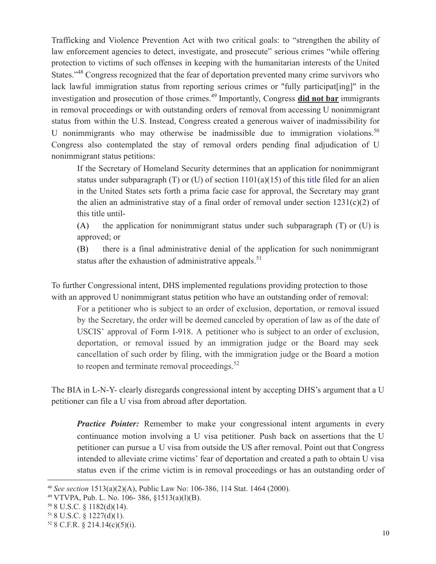Trafficking and Violence Prevention Act with two critical goals: to "strengthen the ability of law enforcement agencies to detect, investigate, and prosecute" serious crimes "while offering protection to victims of such offenses in keeping with the humanitarian interests of the United States."<sup>48</sup> Congress recognized that the fear of deportation prevented many crime survivors who lack lawful immigration status from reporting serious crimes or "fully participat[ing]" in the investigation and prosecution of those crimes.<sup>49</sup> Importantly, Congress **did not bar** immigrants in removal proceedings or with outstanding orders of removal from accessing U nonimmigrant status from within the U.S. Instead, Congress created a generous waiver of inadmissibility for U nonimmigrants who may otherwise be inadmissible due to immigration violations.<sup>50</sup> Congress also contemplated the stay of removal orders pending final adjudication of U nonimmigrant status petitions:

If the Secretary of Homeland Security determines that an application for nonimmigrant status under subparagraph (T) or (U) of section  $1101(a)(15)$  of this title filed for an alien in the United States sets forth a prima facie case for approval, the Secretary may grant the alien an administrative stay of a final order of removal under section  $1231(c)(2)$  of this title until-

(A) the application for nonimmigrant status under such subparagraph  $(T)$  or  $(U)$  is approved; or

(B) there is a final administrative denial of the application for such nonimmigrant status after the exhaustion of administrative appeals.<sup>51</sup>

To further Congressional intent, DHS implemented regulations providing protection to those with an approved U nonimmigrant status petition who have an outstanding order of removal:

For a petitioner who is subject to an order of exclusion, deportation, or removal issued by the Secretary, the order will be deemed canceled by operation of law as of the date of USCIS' approval of Form I-918. A petitioner who is subject to an order of exclusion, deportation, or removal issued by an immigration judge or the Board may seek cancellation of such order by filing, with the immigration judge or the Board a motion to reopen and terminate removal proceedings. $52$ 

The BIA in L-N-Y- clearly disregards congressional intent by accepting DHS's argument that a U petitioner can file a U visa from abroad after deportation.

*Practice Pointer:* Remember to make your congressional intent arguments in every continuance motion involving a U visa petitioner. Push back on assertions that the U petitioner can pursue a U visa from outside the US after removal. Point out that Congress intended to alleviate crime victims' fear of deportation and created a path to obtain U visa status even if the crime victim is in removal proceedings or has an outstanding order of

<sup>48</sup> *See section* 1513(a)(2)(A), Public Law No: 106-386, 114 Stat. 1464 (2000).

 $49$  VTVPA, Pub. L. No. 106-386, §1513(a)(l)(B).

 $50$  8 U.S.C. § 1182(d)(14).

 $51$  8 U.S.C. § 1227(d)(1).

 $52$  8 C.F.R. § 214.14(c)(5)(i).